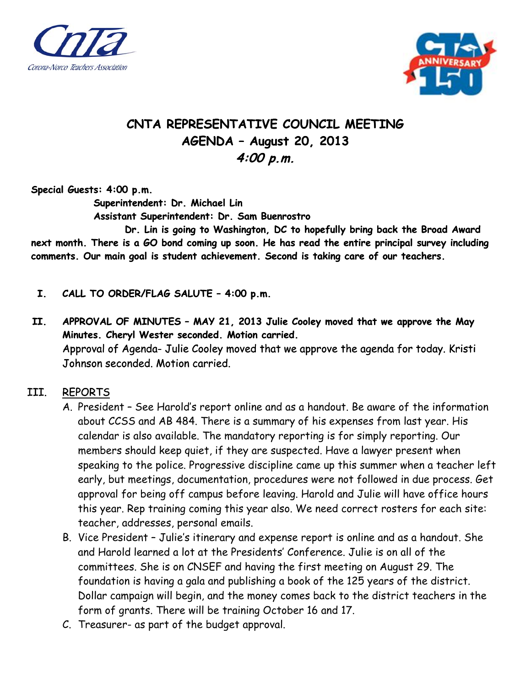



## **CNTA REPRESENTATIVE COUNCIL MEETING AGENDA – August 20, 2013 4:00 p.m.**

**Special Guests: 4:00 p.m.** 

 **Superintendent: Dr. Michael Lin** 

 **Assistant Superintendent: Dr. Sam Buenrostro** 

 **Dr. Lin is going to Washington, DC to hopefully bring back the Broad Award next month. There is a GO bond coming up soon. He has read the entire principal survey including comments. Our main goal is student achievement. Second is taking care of our teachers.** 

- **I. CALL TO ORDER/FLAG SALUTE 4:00 p.m.**
- **II. APPROVAL OF MINUTES MAY 21, 2013 Julie Cooley moved that we approve the May Minutes. Cheryl Wester seconded. Motion carried.**  Approval of Agenda- Julie Cooley moved that we approve the agenda for today. Kristi Johnson seconded. Motion carried.
- III. REPORTS
	- A. President See Harold's report online and as a handout. Be aware of the information about CCSS and AB 484. There is a summary of his expenses from last year. His calendar is also available. The mandatory reporting is for simply reporting. Our members should keep quiet, if they are suspected. Have a lawyer present when speaking to the police. Progressive discipline came up this summer when a teacher left early, but meetings, documentation, procedures were not followed in due process. Get approval for being off campus before leaving. Harold and Julie will have office hours this year. Rep training coming this year also. We need correct rosters for each site: teacher, addresses, personal emails.
	- B. Vice President Julie's itinerary and expense report is online and as a handout. She and Harold learned a lot at the Presidents' Conference. Julie is on all of the committees. She is on CNSEF and having the first meeting on August 29. The foundation is having a gala and publishing a book of the 125 years of the district. Dollar campaign will begin, and the money comes back to the district teachers in the form of grants. There will be training October 16 and 17.
	- C. Treasurer- as part of the budget approval.